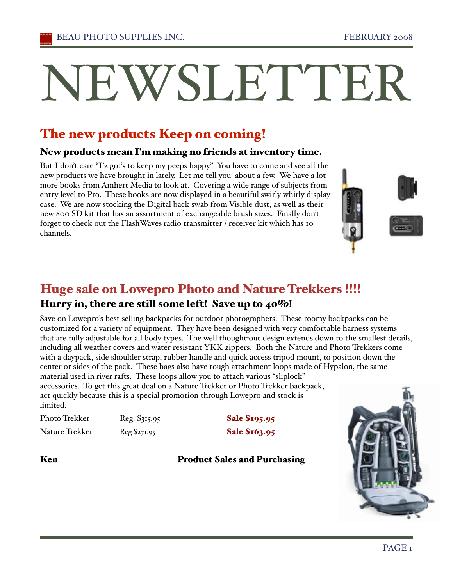# NEWSLETTER

# The new products Keep on coming!

## New products mean I'm making no friends at inventory time.

But I don't care "I'z got's to keep my peeps happy" You have to come and see all the new products we have brought in lately. Let me tell you about a few. We have a lot more books from Amhert Media to look at. Covering a wide range of subjects from entry level to Pro. These books are now displayed in a beautiful swirly whirly display case. We are now stocking the Digital back swab from Visible dust, as well as their new 800 SD kit that has an assortment of exchangeable brush sizes. Finally don't forget to check out the FlashWaves radio transmitter / receiver kit which has 10 channels.

# Huge sale on Lowepro Photo and Nature Trekkers !!!! Hurry in, there are still some left! Save up to 40%!

Save on Lowepro's best selling backpacks for outdoor photographers. These roomy backpacks can be customized for a variety of equipment. They have been designed with very comfortable harness systems that are fully adjustable for all body types. The well thought-out design extends down to the smallest details, including all weather covers and water-resistant YKK zippers. Both the Nature and Photo Trekkers come with a daypack, side shoulder strap, rubber handle and quick access tripod mount, to position down the center or sides of the pack. These bags also have tough attachment loops made of Hypalon, the same material used in river rafts. These loops allow you to attach various "sliplock" accessories. To get this great deal on a Nature Trekker or Photo Trekker backpack, act quickly because this is a special promotion through Lowepro and stock is

| Photo Trekker  | Reg. \$315.95 | Sale \$195.95 |
|----------------|---------------|---------------|
| Nature Trekker | Reg \$271.95  | Sale \$163.95 |

## Ken **Product Sales and Purchasing**



limited.





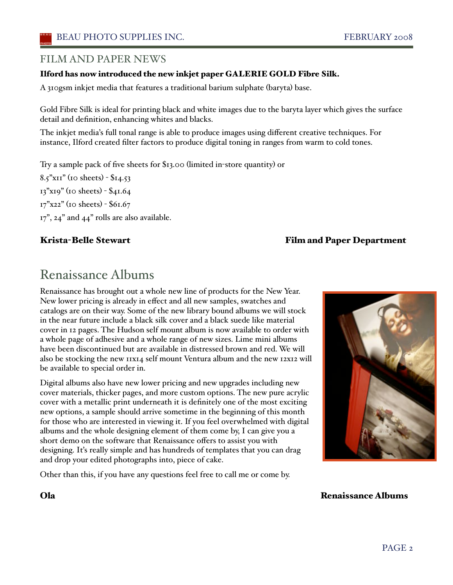## FILM AND PAPER NEWS

#### Ilford has now introduced the new inkjet paper GALERIE GOLD Fibre Silk.

A 310gsm inkjet media that features a traditional barium sulphate (baryta) base.

Gold Fibre Silk is ideal for printing black and white images due to the baryta layer which gives the surface detail and definition, enhancing whites and blacks.

The inkjet media's full tonal range is able to produce images using different creative techniques. For instance, Ilford created filter factors to produce digital toning in ranges from warm to cold tones.

Try a sample pack of five sheets for \$13.00 (limited in-store quantity) or

 $8.5"$ xII" (10 sheets) - \$14.53 "x19" (10 sheets) - \$41.64 "x22" (10 sheets) - \$61.67 ", 24" and 44" rolls are also available.

#### Krista-Belle Stewart Film and Paper Department

## Renaissance Albums

Renaissance has brought out a whole new line of products for the New Year. New lower pricing is already in effect and all new samples, swatches and catalogs are on their way. Some of the new library bound albums we will stock in the near future include a black silk cover and a black suede like material cover in 12 pages. The Hudson self mount album is now available to order with a whole page of adhesive and a whole range of new sizes. Lime mini albums have been discontinued but are available in distressed brown and red. We will also be stocking the new 11x14 self mount Ventura album and the new 12x12 will be available to special order in.

Digital albums also have new lower pricing and new upgrades including new cover materials, thicker pages, and more custom options. The new pure acrylic cover with a metallic print underneath it is definitely one of the most exciting new options, a sample should arrive sometime in the beginning of this month for those who are interested in viewing it. If you feel overwhelmed with digital albums and the whole designing element of them come by, I can give you a short demo on the software that Renaissance offers to assist you with designing. It's really simple and has hundreds of templates that you can drag and drop your edited photographs into, piece of cake.

Other than this, if you have any questions feel free to call me or come by.



#### Ola Renaissance Albums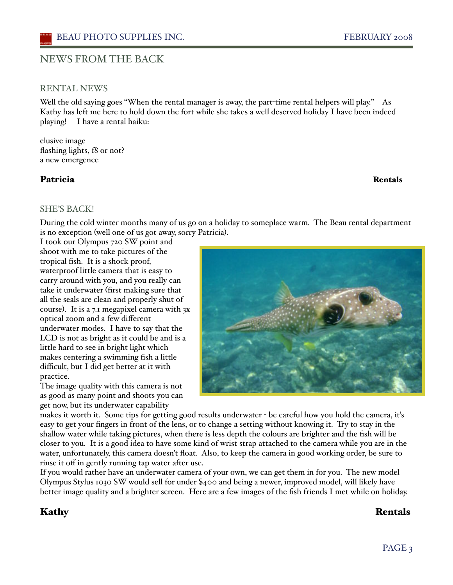#### NEWS FROM THE BACK

#### RENTAL NEWS

Well the old saying goes "When the rental manager is away, the part-time rental helpers will play." As Kathy has left me here to hold down the fort while she takes a well deserved holiday I have been indeed playing! I have a rental haiku:

elusive image flashing lights, f8 or not? a new emergence

#### Patricia Rentals

#### SHE'S BACK!

During the cold winter months many of us go on a holiday to someplace warm. The Beau rental department is no exception (well one of us got away, sorry Patricia).

I took our Olympus 720 SW point and shoot with me to take pictures of the tropical fish. It is a shock proof, waterproof little camera that is easy to carry around with you, and you really can take it underwater (first making sure that all the seals are clean and properly shut of course). It is a 7.1 megapixel camera with 3x optical zoom and a few different underwater modes. I have to say that the LCD is not as bright as it could be and is a little hard to see in bright light which makes centering a swimming fish a little difficult, but I did get better at it with practice.

The image quality with this camera is not as good as many point and shoots you can get now, but its underwater capability

makes it worth it. Some tips for getting good results underwater - be careful how you hold the camera, it's easy to get your fingers in front of the lens, or to change a setting without knowing it. Try to stay in the shallow water while taking pictures, when there is less depth the colours are brighter and the fish will be closer to you. It is a good idea to have some kind of wrist strap attached to the camera while you are in the water, unfortunately, this camera doesn't float. Also, to keep the camera in good working order, be sure to rinse it off in gently running tap water after use.

If you would rather have an underwater camera of your own, we can get them in for you. The new model Olympus Stylus 1030 SW would sell for under \$400 and being a newer, improved model, will likely have better image quality and a brighter screen. Here are a few images of the fish friends I met while on holiday.

## Kathy Rentals

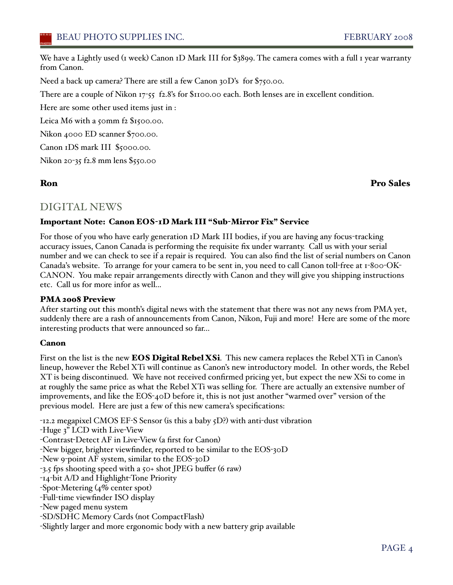We have a Lightly used (1 week) Canon 1D Mark III for \$3899. The camera comes with a full I year warranty from Canon.

Need a back up camera? There are still a few Canon 30D's for \$750.00.

There are a couple of Nikon 17-55 f2.8's for \$1100.00 each. Both lenses are in excellent condition.

Here are some other used items just in :

Leica M6 with a 50mm f2 \$1500.00.

Nikon 4000 ED scanner \$700.00.

Canon IDS mark III \$5000.00.

Nikon 20-35 f2.8 mm lens \$550.00

Ron Pro Sales

#### DIGITAL NEWS

#### Important Note: Canon EOS-1D Mark III "Sub-Mirror Fix" Service

For those of you who have early generation 1D Mark III bodies, if you are having any focus-tracking accuracy issues, Canon Canada is performing the requisite fix under warranty. Call us with your serial number and we can check to see if a repair is required. You can also find the list of serial numbers on Canon Canada's website. To arrange for your camera to be sent in, you need to call Canon toll-free at 1-800-OK-CANON. You make repair arrangements directly with Canon and they will give you shipping instructions etc. Call us for more infor as well...

#### PMA 2008 Preview

After starting out this month's digital news with the statement that there was not any news from PMA yet, suddenly there are a rash of announcements from Canon, Nikon, Fuji and more! Here are some of the more interesting products that were announced so far...

#### Canon

First on the list is the new **EOS Digital Rebel XSi**. This new camera replaces the Rebel XTi in Canon's lineup, however the Rebel XTi will continue as Canon's new introductory model. In other words, the Rebel XT is being discontinued. We have not received confirmed pricing yet, but expect the new XSi to come in at roughly the same price as what the Rebel XTi was selling for. There are actually an extensive number of improvements, and like the EOS-40D before it, this is not just another "warmed over" version of the previous model. Here are just a few of this new camera's specifications:

-12.2 megapixel CMOS EF-S Sensor (is this a baby 5D?) with anti-dust vibration

- -Huge 3" LCD with Live-View
- -Contrast-Detect AF in Live-View (a first for Canon)
- -New bigger, brighter viewfinder, reported to be similar to the EOS-30D
- -New 9-point AF system, similar to the EOS-30D
- -3.5 fps shooting speed with a 50+ shot JPEG buffer (6 raw)
- -14-bit A/D and Highlight-Tone Priority
- -Spot-Metering (4% center spot)
- -Full-time viewfinder ISO display
- -New paged menu system
- -SD/SDHC Memory Cards (not CompactFlash)
- -Slightly larger and more ergonomic body with a new battery grip available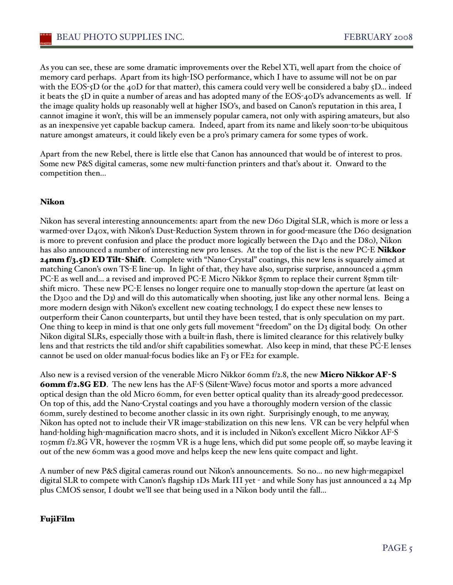As you can see, these are some dramatic improvements over the Rebel XTi, well apart from the choice of memory card perhaps. Apart from its high-ISO performance, which I have to assume will not be on par with the EOS-5D (or the 40D for that matter), this camera could very well be considered a baby 5D... indeed it beats the  $5D$  in quite a number of areas and has adopted many of the EOS-40D's advancements as well. If the image quality holds up reasonably well at higher ISO's, and based on Canon's reputation in this area, I cannot imagine it won't, this will be an immensely popular camera, not only with aspiring amateurs, but also as an inexpensive yet capable backup camera. Indeed, apart from its name and likely soon-to-be ubiquitous nature amongst amateurs, it could likely even be a pro's primary camera for some types of work.

Apart from the new Rebel, there is little else that Canon has announced that would be of interest to pros. Some new P&S digital cameras, some new multi-function printers and thaťs about it. Onward to the competition then...

#### Nikon

Nikon has several interesting announcements: apart from the new D60 Digital SLR, which is more or less a warmed-over D40x, with Nikon's Dust-Reduction System thrown in for good-measure (the D60 designation is more to prevent confusion and place the product more logically between the D40 and the D80), Nikon has also announced a number of interesting new pro lenses. At the top of the list is the new PC-E Nikkor 24mm f/3.5D ED Tilt-Shift. Complete with "Nano-Crystal" coatings, this new lens is squarely aimed at matching Canon's own TS-E line-up. In light of that, they have also, surprise surprise, announced a 45mm PC-E as well and... a revised and improved PC-E Micro Nikkor 85mm to replace their current 85mm tiltshift micro. These new PC-E lenses no longer require one to manually stop-down the aperture (at least on the D300 and the D3) and will do this automatically when shooting, just like any other normal lens. Being a more modern design with Nikon's excellent new coating technology, I do expect these new lenses to outperform their Canon counterparts, but until they have been tested, that is only speculation on my part. One thing to keep in mind is that one only gets full movement "freedom" on the D3 digital body. On other Nikon digital SLRs, especially those with a built-in flash, there is limited clearance for this relatively bulky lens and that restricts the tild and/or shift capabilities somewhat. Also keep in mind, that these PC-E lenses cannot be used on older manual-focus bodies like an  $F_3$  or  $FE_2$  for example.

Also new is a revised version of the venerable Micro Nikkor 60mm  $f/2.8$ , the new **Micro Nikkor AF-S 60mm f/2.8G ED.** The new lens has the AF-S (Silent-Wave) focus motor and sports a more advanced optical design than the old Micro 60mm, for even better optical quality than its already-good predecessor. On top of this, add the Nano-Crystal coatings and you have a thoroughly modern version of the classic 60mm, surely destined to become another classic in its own right. Surprisingly enough, to me anyway, Nikon has opted not to include their VR image-stabilization on this new lens. VR can be very helpful when hand-holding high-magnification macro shots, and it is included in Nikon's excellent Micro Nikkor AF-S 105mm f/2.8G VR, however the 105mm VR is a huge lens, which did put some people off, so maybe leaving it out of the new 60mm was a good move and helps keep the new lens quite compact and light.

A number of new P&S digital cameras round out Nikon's announcements. So no... no new high-megapixel digital SLR to compete with Canon's flagship 1Ds Mark III yet - and while Sony has just announced a 24 Mp plus CMOS sensor, I doubt we'll see that being used in a Nikon body until the fall...

#### FujiFilm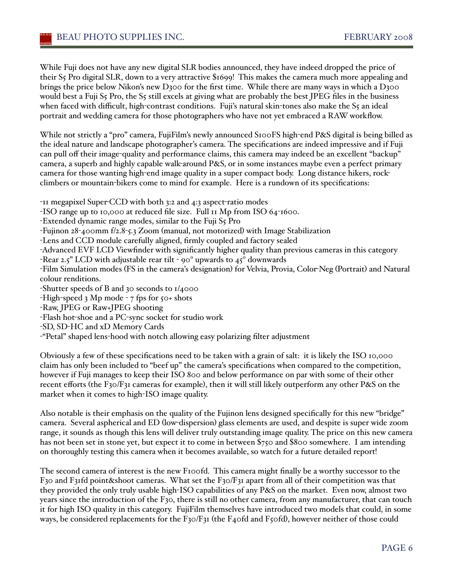While Fuji does not have any new digital SLR bodies announced, they have indeed dropped the price of their S5 Pro digital SLR, down to a very attractive \$1699! This makes the camera much more appealing and brings the price below Nikon's new D300 for the first time. While there are many ways in which a D300 would best a Fuji S5 Pro, the S5 still excels at giving what are probably the best JPEG files in the business when faced with difficult, high-contrast conditions. Fuji's natural skin-tones also make the S5 an ideal portrait and wedding camera for those photographers who have not yet embraced a RAW workflow.

While not strictly a "pro" camera, FujiFilm's newly announced S100FS high-end P&S digital is being billed as the ideal nature and landscape photographer's camera. The specifications are indeed impressive and if Fuji can pull off their image-quality and performance claims, this camera may indeed be an excellent "backup" camera, a superb and highly capable walk-around P&S, or in some instances maybe even a perfect primary camera for those wanting high-end image quality in a super compact body. Long distance hikers, rockclimbers or mountain-bikers come to mind for example. Here is a rundown of its specifications:

- -11 megapixel Super-CCD with both 3:2 and 4:3 aspect-ratio modes
- -ISO range up to 10,000 at reduced file size. Full 11 Mp from ISO 64-1600.
- -Extended dynamic range modes, similar to the Fuji S5 Pro
- -Fujinon 28-400mm f/2.8-5.3 Zoom (manual, not motorized) with Image Stabilization
- -Lens and CCD module carefully aligned, firmly coupled and factory sealed
- -Advanced EVF LCD Viewfinder with significantly higher quality than previous cameras in this category
- -Rear 2.5" LCD with adjustable rear tilt 90º upwards to 45º downwards
- -Film Simulation modes (FS in the camera's designation) for Velvia, Provia, Color-Neg (Portrait) and Natural colour renditions.
- -Shutter speeds of B and 30 seconds to 1/4000
- -High-speed 3 Mp mode  $-7$  fps for  $50+$  shots
- -Raw, JPEG or Raw+JPEG shooting
- -Flash hot-shoe and a PC-sync socket for studio work
- -SD, SD-HC and xD Memory Cards
- -"Petal" shaped lens-hood with notch allowing easy polarizing filter adjustment

Obviously a few of these specifications need to be taken with a grain of salt: it is likely the ISO 10,000 claim has only been included to "beef up" the camera's specifications when compared to the competition, however if Fuji manages to keep their ISO 800 and below performance on par with some of their other recent efforts (the F30/F31 cameras for example), then it will still likely outperform any other P&S on the market when it comes to high-ISO image quality.

Also notable is their emphasis on the quality of the Fujinon lens designed specifically for this new "bridge" camera. Several aspherical and ED (low-dispersion) glass elements are used, and despite is super wide zoom range, it sounds as though this lens will deliver truly outstanding image quality. The price on this new camera has not been set in stone yet, but expect it to come in between \$750 and \$800 somewhere. I am intending on thoroughly testing this camera when it becomes available, so watch for a future detailed report!

The second camera of interest is the new F100fd. This camera might finally be a worthy successor to the F30 and F31fd point&shoot cameras. What set the F30/F31 apart from all of their competition was that they provided the only truly usable high-ISO capabilities of any P&S on the market. Even now, almost two years since the introduction of the F30, there is still no other camera, from any manufacturer, that can touch it for high ISO quality in this category. FujiFilm themselves have introduced two models that could, in some ways, be considered replacements for the F30/F31 (the F40fd and F50fd), however neither of those could